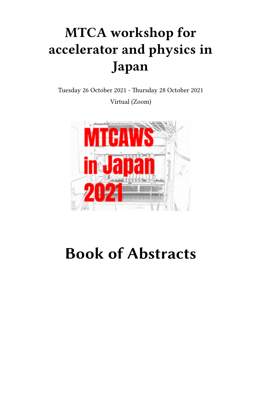## **MTCA workshop for accelerator and physics in Japan**

Tuesday 26 October 2021 - Thursday 28 October 2021 Virtual (Zoom)



# **Book of Abstracts**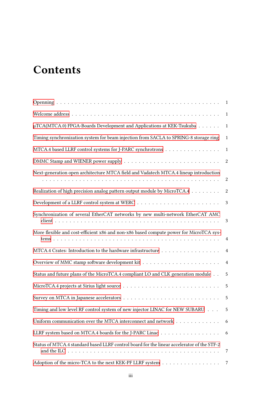## **Contents**

|                                                                                            | 1                |
|--------------------------------------------------------------------------------------------|------------------|
| $\mu$ TCA(MTCA.0) FPGA-Boards Development and Applications at KEK-Tsukuba                  | 1                |
| Timing synchronization system for beam injection from SACLA to SPRING-8 storage ring       | $\mathbf{1}$     |
| MTCA.4 based LLRF control systems for J-PARC synchrotrons                                  | 1                |
|                                                                                            | 2                |
| Next-generation open architecture MTCA field and Vadatech MTCA.4 lineup introduction       | $\boldsymbol{2}$ |
| Realization of high precision analog pattern output module by MicroTCA.4                   | 2                |
|                                                                                            | 3                |
| Synchronization of several EtherCAT networks by new multi-network EtherCAT AMC             | 3                |
| More flexible and cost-efficient x86 and non-x86 based compute power for MicroTCA sys-     | $\overline{4}$   |
| MTCA.4 Crates: Introduction to the hardware infrastructure                                 | $\overline{4}$   |
|                                                                                            | 4                |
| Status and future plans of the MicroTCA.4 compliant LO and CLK generation module           | 5                |
|                                                                                            | 5                |
|                                                                                            | 5                |
| Timing and low level RF control system of new injector LINAC for NEW SUBARU                | $5\overline{)}$  |
| Uniform communication over the MTCA interconnect and network                               | 6                |
| LLRF system based on MTCA.4 boards for the J-PARC Linac                                    | 6                |
| Status of MTCA.4 standard based LLRF control board for the linear accelerator of the STF-2 | 7                |
| Adoption of the micro-TCA to the next KEK-PF LLRF system                                   | 7                |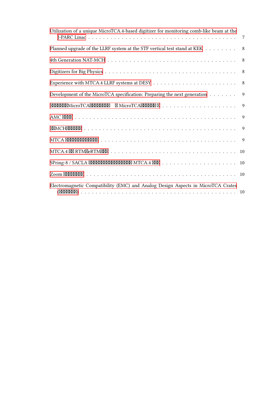| Utilization of a unique MicroTCA.4-based digitizer for monitoring comb-like beam at the | 7  |
|-----------------------------------------------------------------------------------------|----|
| Planned upgrade of the LLRF system at the STF vertical test stand at KEK 8              |    |
|                                                                                         |    |
|                                                                                         |    |
|                                                                                         |    |
| Development of the MicroTCA specification: Preparing the next generation                | 9  |
|                                                                                         |    |
|                                                                                         | 9  |
|                                                                                         |    |
|                                                                                         |    |
|                                                                                         |    |
|                                                                                         | 10 |
|                                                                                         |    |
| Electromagnetic Compatibility (EMC) and Analog Design Aspects in MicroTCA Crates        |    |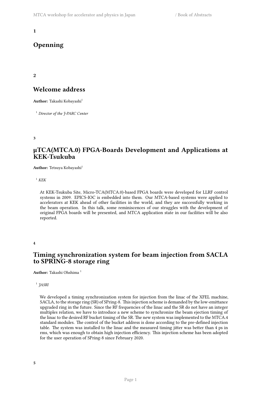## <span id="page-4-0"></span>**Openning**

<span id="page-4-1"></span>**2**

## **Welcome address**

**Author:** Takashi Kobayashi<sup>1</sup>

<sup>1</sup> *Director of the J-PARC Center*

<span id="page-4-2"></span>**3**

## **μTCA(MTCA.0) FPGA-Boards Development and Applications at KEK-Tsukuba**

Author: Tetsuya Kobayashi<sup>1</sup>

 $1$  *KEK* 

At KEK-Tsukuba Site, Micro-TCA(MTCA.0)-based FPGA boards were developed for LLRF control systems in 2009. EPICS-IOC is embedded into them. Our MTCA-based systems were applied to accelerators at KEK ahead of other facilities in the world, and they are successfully working in the beam operation. In this talk, some reminiscences of our struggles with the development of original FPGA boards will be presented, and MTCA application state in our facilities will be also reported.

<span id="page-4-3"></span>**4**

## **Timing synchronization system for beam injection from SACLA to SPRING-8 storage ring**

**Author:** Takashi Ohshima <sup>1</sup>

1 *JASRI*

<span id="page-4-4"></span>We developed a timing synchronization system for injection from the linac of the XFEL machine, SACLA, to the storage ring (SR) of SPring-8. This injection scheme is demanded by the low-emittance upgraded ring in the future. Since the RF frequencies of the linac and the SR do not have an integer multiples relation, we have to introduce a new scheme to synchronize the beam ejection timing of the linac to the desired RF bucket timing of the SR. The new system was implemented to the MTCA.4 standard modules. The control of the bucket address is done according to the pre-defined injection table. The system was installed to the linac and the measured timing jitter was better than 4 ps in rms, which was enough to obtain high injection efficiency. This injection scheme has been adopted for the user operation of SPring-8 since February 2020.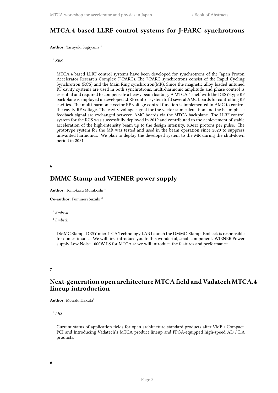## **MTCA.4 based LLRF control systems for J-PARC synchrotrons**

**Author:** Yasuyuki Sugiyama <sup>1</sup>

#### <sup>1</sup> *KEK*

MTCA.4 based LLRF control systems have been developed for synchrotrons of the Japan Proton Accelerator Research Complex (J-PARC). The J-PARC synchrotrons consist of the Rapid Cycling Synchrotron (RCS) and the Main Ring synchrotron(MR). Since the magnetic alloy loaded untuned RF cavity systems are used in both synchrotrons, multi-harmonic amplitude and phase control is essential and required to compensate a heavy beam loading. A MTCA.4 shelf with the DESY-type RF backplane is employed in developed LLRF control system to fit several AMC boards for controlling RF cavities. The multi-harmonic vector RF voltage control function is implemented in AMC to control the cavity RF voltage. The cavity voltage signal for the vector sum calculation and the beam phase feedback signal are exchanged between AMC boards via the MTCA backplane. The LLRF control system for the RCS was successfully deployed in 2019 and contributed to the achievement of stable acceleration of the high-intensity beam up to the design intensity, 8.3e13 protons per pulse. The prototype system for the MR was tested and used in the beam operation since 2020 to suppress unwanted harmonics. We plan to deploy the developed system to the MR during the shut-down period in 2021.

#### <span id="page-5-0"></span>**6**

## **DMMC Stamp and WIENER power supply**

```
Author: Tomokazu Murakoshi 1
```
**Co-author:** Fuminori Suzuki <sup>2</sup>

#### 1 *Embeck*

2 *Embeck*

DMMC Stamp: DESY microTCA Technology LAB Launch the DMMC-Stamp. Embeck is responsible for domestic sales. We will first introduce you to this wonderful, small component. WIENER Power supply Low Noise 1000W PS for MTCA.4: we will introduce the features and performance.

<span id="page-5-1"></span>**7**

## **Next-generation open architecture MTCA field and Vadatech MTCA.4 lineup introduction**

**Author:** Moriaki Hakuta<sup>1</sup>

1 *LHS*

<span id="page-5-2"></span>Current status of application fields for open architecture standard products after VME / Compact-PCI and Introducing Vadatech's MTCA product lineup and FPGA-equipped high-speed AD / DA products.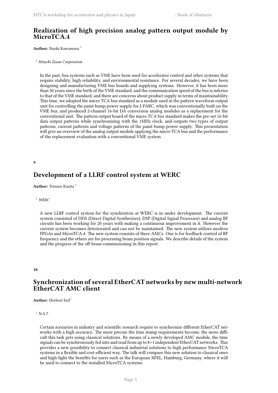## **Realization of high precision analog pattern output module by MicroTCA.4**

**Author:** Naoki Kawamura <sup>1</sup>

#### <sup>1</sup> *Hitachi Zosen Corporation*

In the past, bus systems such as VME have been used for accelerator control and other systems that require stability, high reliability, and environmental resistance. For several decades, we have been designing and manufacturing VME bus boards and supplying systems. However, it has been more than 30 years since the birth of the VME standard, and the communication speed of the bus is inferior to that of the VME standard, and there are concerns about product supply in terms of maintainability. This time, we adopted the micro TCA bus standard as a module used in the pattern waveform output unit for controlling the paint bump power supply for J-PARC, which was conventionally built on the VME bus, and produced 2-channel 16-bit DA conversion analog modules as a replacement for the conventional unit. The pattern output board of the micro TCA bus standard makes the pre-set 16-bit data output patterns while synchronizing with the 1MHz clock, and outputs two types of output patterns, current patterns and voltage patterns of the paint bump power supply. This presentation will give an overview of the analog output module applying the micro TCA bus and the performance of the replacement evaluation with a conventional VME system.

<span id="page-6-0"></span>**9**

## **Development of a LLRF control system at WERC**

**Author:** Tetsuro Kurita<sup>1</sup>

#### <sup>1</sup> *WERC*

A new LLRF control system for the synchrotron at WERC is in under development. The current system consisted of DDS (Direct Digital Synthesizer), DSP (Digital Signal Processor) and analog RF circuits has been working for 20 years with making a continuous improvement in it. However the current system becomes deteriorated and can not be maintained. The new system utilizes modern FPGAs and MicroTCA.4. The new system consists of three AMCs. One is for feedback control of RF frequency and the others are for processing beam position signals. We describe details of the system and the progress of the off-beam commissioning in this report.

#### <span id="page-6-1"></span>**10**

## **Synchronization of several EtherCAT networks by new multi-network EtherCAT AMC client**

**Author:** Herbert Erd<sup>1</sup>

#### <sup>1</sup> *N.A.T*

Certain scenarios in industry and scientific research require to synchronize different EtherCAT networks with a high accuracy. The more precise the time stamp requirements become, the more difficult this task gets using classical solutions. By means of a newly developed AMC module, the time signals can be synchronously fed into and read from up to 8+1 independent EtherCAT networks. This provides a new possibility to connect classical industrial solutions to high performance MicroTCA systems in a flexible and cost-efficient way. The talk will compare this new solution to classical ones and high-light the benefits for users such as the European XFEL, Hamburg, Germany, where it will be used to connect to the installed MicroTCA systems.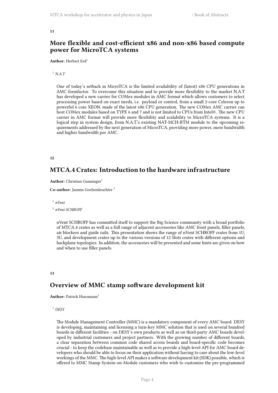## <span id="page-7-0"></span>**More flexible and cost-efficient x86 and non-x86 based compute power for MicroTCA systems**

#### Author: Herbert Erd<sup>1</sup>

<sup>1</sup> *N.A.T*

One of today's setback in MicroTCA is the limited availability of (latest) x86 CPU generations in AMC formfactor. To overcome this situation and to provide more flexibility to the market N.A.T has developed a new carrier for COMex modules in AMC format which allows customers to select processing power based on exact needs, i.e. payload or control, from a small 2-core Celeron up to powerful 6 core XEON, made of the latest x86 CPU generation. The new COMex AMC carrier can host COMex modules based on TYPE 6 and 7 and is not limited to CPUs from Intel®. The new CPU carrier in AMC format will provide more flexibility and scalability to MicroTCA systems. It is a logical step in system design, from N.A.T.'s existing NAT-MCH-RTM module to the upcoming requirements addressed by the next generation of MicroTCA, providing more power, more bandwidth and higher bandwidth per AMC.

#### <span id="page-7-1"></span>**12**

## **MTCA.4 Crates: Introduction to the hardware infrastructure**

```
Author: Christian Ganninger<sup>1</sup>
```
**Co-author:** Jasmin Goelzenleuchter <sup>2</sup>

```
1
nVent
```

```
2
nVent SCHROFF
```
nVent SCHROFF has committed itself to support the Big Science community with a broad portfolio of MTCA.4 crates as well as a full range of adjacent accessories like AMC front panels, filler panels, air blockers and guide rails. This presentation shows the range of nVent SCHROFF crates from 1U, 3U, and development crates up to the various versions of 12 Slots crates with different options and backplane topologies. In addition, the accessories will be presented and some hints are given on how and when to use filler panels.

#### <span id="page-7-2"></span>**13**

## **Overview of MMC stamp software development kit**

**Author:** Patrick Huesmann<sup>1</sup>

#### <sup>1</sup> *DESY*

The Module Management Controller (MMC) is a mandatory component of every AMC board. DESY is developing, maintaining and licensing a turn-key MMC solution that is used on several hundred boards in different facilities - on DESY's own products as well as on third-party AMC boards developed by industrial customers and project partners. With the growing number of different boards, a clear separation between common code shared across boards and board-specific code becomes crucial - to keep the codebase maintainable as well as to provide a high-level API for AMC board developers who should be able to focus on their application without having to care about the low-level workings of the MMC. The high-level API makes a software development kit (SDK) possible, which is offered to MMC Stamp System-on-Module customers who wish to customize the pre-programmed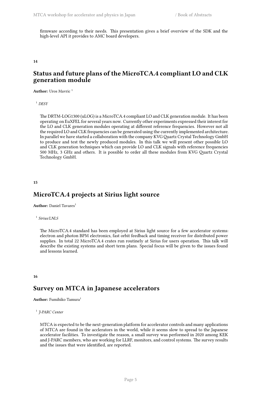firmware according to their needs. This presentation gives a brief overview of the SDK and the high-level API it provides to AMC board developers.

#### <span id="page-8-0"></span>**14**

## **Status and future plans of the MicroTCA.4 compliant LO and CLK generation module**

Author: Uros Mavric<sup>1</sup>

<sup>1</sup> *DESY*

The DRTM-LOG1300 (uLOG) is a MicroTCA.4 compliant LO and CLK generation module. It has been operating on EuXFEL for several years now. Currently other experiments expressed their interest for the LO and CLK generation modules operating at different reference frequencies. However not all the required LO and CLK frequencies can be generated using the currently implemented architecture. In parallel we have started a collaboration with the company KVG Quartz Crystal Technology GmbH to produce and test the newly produced modules. In this talk we will present other possible LO and CLK generation techniques which can provide LO and CLK signals with reference frequencies 500 MHz, 3 GHz and others. It is possible to order all these modules from KVG Quartz Crystal Technology GmbH.

<span id="page-8-1"></span>**15**

## **MicroTCA.4 projects at Sirius light source**

**Author:** Daniel Tavares<sup>1</sup>

#### 1 *Sirius/LNLS*

The MicroTCA.4 standard has been employed at Sirius light source for a few accelerator systems: electron and photon BPM electronics, fast orbit feedback and timing receiver for distributed power supplies. In total 22 MicroTCA.4 crates run routinely at Sirius for users operation. This talk will describe the existing systems and short term plans. Special focus will be given to the issues found and lessons learned.

#### <span id="page-8-2"></span>**16**

## **Survey on MTCA in Japanese accelerators**

**Author:** Fumihiko Tamura<sup>1</sup>

1 *J-PARC Center*

<span id="page-8-3"></span>MTCA is expected to be the next-generation platform for accelerator controls and many applications of MTCA are found in the acclerators in the world, while it seems slow to spread to the Japanese accelerator facilities. To investigate the reason, a small survey was performed in 2020 among KEK and J-PARC members, who are working for LLRF, monitors, and control systems. The survey results and the issues that were identified, are reported.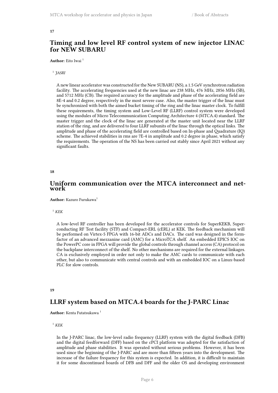## **Timing and low level RF control system of new injector LINAC for NEW SUBARU**

Author: Eito Iwai<sup>1</sup>

#### 1 *JASRI*

A new linear accelerator was constructed for the New SUBARU (NS), a 1.5 GeV synchrotron radiation facility. The accelerating frequencies used at the new linac are 238 MHz, 476 MHz, 2856 MHz (SB), and 5712 MHz (CB). The required accuracy for the amplitude and phase of the accelerating field are 8E-4 and 0.2 degree, respectively in the most severe case. Also, the master trigger of the linac must be synchronized with both the aimed bucket timing of the ring and the linac master clock. To fulfill these requirements, the timing system and Low-Level RF (LLRF) control system were developed using the modules of Micro Telecommunication Computing Architecture 4 (MTCA.4) standard. The master trigger and the clock of the linac are generated at the master unit located near the LLRF station of the ring, and are delivered to four LLRF subunits of the linac through the optical links. The amplitude and phase of the accelerating field are controlled based on In-phase and Quadrature (IQ) scheme. The achieved stabilities in rms are 7E-4 in amplitude and 0.2 degree in phase, which satisfy the requirements. The operation of the NS has been carried out stably since April 2021 without any significant faults.

#### <span id="page-9-0"></span>**18**

## **Uniform communication over the MTCA interconnect and network**

**Author:** Kazuro Furukawa<sup>1</sup>

#### <sup>1</sup>  $KEK$

A low-level RF controller has been developed for the accelerator controls for SuperKEKB, Superconducting RF Test facility (STF) and Compact-ERL (cERL) at KEK. The feedback mechanism will be performed on Virtex-5 FPGA with 16-bit ADCs and DACs. The card was designed in the formfactor of an advanced mezzanine card (AMC) for a MicroTCA shelf. An embedded EPICS IOC on the PowerPC core in FPGA will provide the global controls through channel access (CA) protocol on the backplane interconnect of the shelf. No other mechanisms are required for the external linkages. CA is exclusively employed in order not only to make the AMC cards to communicate with each other, but also to communicate with central controls and with an embedded IOC on a Linux-based PLC for slow controls.

#### <span id="page-9-1"></span>**19**

## **LLRF system based on MTCA.4 boards for the J-PARC Linac**

Author: Kenta Futatsukawa<sup>1</sup>

#### $1$ *KEK*

In the J-PARC linac, the low-level radio frequency (LLRF) system with the digital feedback (DFB) and the digital feedforward (DFF) based on the cPCI platform was adopted for the satisfaction of amplitude and phase stabilities. It was operated without serious problems. However, it has been used since the beginning of the J-PARC and are more than fifteen years into the development. The increase of the failure frequency for this system is expected. In addition, it is difficult to maintain it for some discontinued boards of DFB and DFF and the older OS and developing environment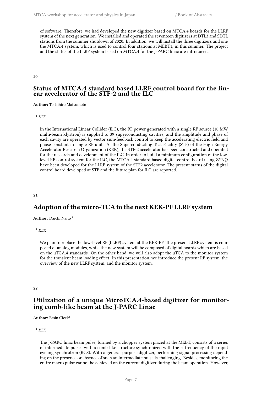of software. Therefore, we had developed the new digitizer based on MTCA.4 boards for the LLRF system of the next generation. We installed and operated the seventeen digitizers at DTL3 and SDTL stations from the summer shutdown of 2020. In addition, we will install the three digitizers and one the MTCA.4 system, which is used to control four stations at MEBT1, in this summer. The project and the status of the LLRF system based on MTCA.4 for the J-PARC linac are introduced.

<span id="page-10-0"></span>**20**

#### **Status of MTCA.4 standard based LLRF control board for the linear accelerator of the STF-2 and the ILC**

**Author:** Toshihiro Matsumoto<sup>1</sup>

 $1$ *KEK* 

In the International Linear Collider (ILC), the RF power generated with a single RF source (10 MW multi-beam klystron) is supplied to 39 superconducting cavities, and the amplitude and phase of each cavity are operated by vector sum-feedback control to keep the accelerating electric field and phase constant in single RF unit. At the Superconducting Test Facility (STF) of the High Energy Accelerator Research Organization (KEK), the STF-2 accelerator has been constructed and operated for the research and development of the ILC. In order to build a minimum configuration of the lowlevel RF control system for the ILC, the MTCA.4 standard based digital control board using ZYNQ have been developed for the LLRF system of the STF2 accelerator. The present status of the digital control board developed at STF and the future plan for ILC are reported.

**21**

## **Adoption of the micro-TCA to the next KEK-PF LLRF system**

**Author:** Daichi Naito <sup>1</sup>

<sup>1</sup> *KEK*

We plan to replace the low-level RF (LLRF) system at the KEK-PF. The present LLRF system is composed of analog modules, while the new system will be composed of digital boards which are based on the  $\mu$ TCA.4 standards. On the other hand, we will also adopt the  $\mu$ TCA to the monitor system for the transient beam loading effect. In this presentation, we introduce the present RF system, the overview of the new LLRF system, and the monitor system.

<span id="page-10-1"></span>**22**

## **Utilization of a unique MicroTCA.4-based digitizer for monitoring comb-like beam at the J-PARC Linac**

Author: Ersin Cicek<sup>1</sup>

<sup>1</sup> *KEK*

The J-PARC linac beam pulse, formed by a chopper system placed at the MEBT, consists of a series of intermediate pulses with a comb-like structure synchronized with the rf frequency of the rapid cycling synchrotron (RCS). With a general-purpose digitizer, performing signal processing depending on the presence or absence of such an intermediate pulse is challenging. Besides, monitoring the entire macro pulse cannot be achieved on the current digitizer during the beam operation. However,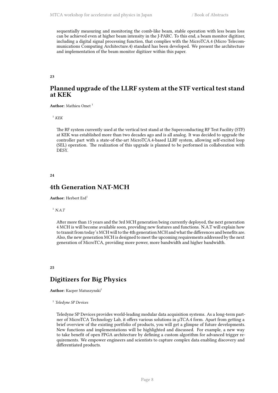sequentially measuring and monitoring the comb-like beam, stable operation with less beam loss can be achieved even at higher beam intensity in the J-PARC. To this end, a beam monitor digitizer, including a digital signal processing function, that complies with the MicroTCA.4 (Micro Telecommunications Computing Architecture.4) standard has been developed. We present the architecture and implementation of the beam monitor digitizer within this paper.

<span id="page-11-0"></span>**23**

## **Planned upgrade of the LLRF system at the STF vertical test stand at KEK**

**Author:** Mathieu Omet <sup>1</sup>

 $^{\rm 1}$   $K\!E\!K$ 

The RF system currently used at the vertical test stand at the Superconducting RF Test Facility (STF) at KEK was established more than two decades ago and is all analog. It was decided to upgrade the controller part with a state-of-the-art MicroTCA.4-based LLRF system, allowing self-excited loop (SEL) operation. The realization of this upgrade is planned to be performed in collaboration with DESY.

#### <span id="page-11-1"></span>**24**

## **4th Generation NAT-MCH**

**Author:** Herbert Erd<sup>1</sup>

<sup>1</sup> *N.A.T*

After more than 15 years and the 3rd MCH generation being currently deployed, the next generation 4 MCH is will become available soon, providing new features and functions. N.A.T will explain how to transit from today's MCH will to the 4th generation MCH and what the differences and benefits are. Also, the new generation MCH is designed to meet the upcoming requirements addressed by the next generation of MicroTCA, providing more power, more bandwidth and higher bandwidth.

#### <span id="page-11-2"></span>**25**

## **Digitizers for Big Physics**

**Author:** Kacper Matuszynski<sup>1</sup>

1 *Teledyne SP Devices*

<span id="page-11-3"></span>Teledyne SP Devices provides world-leading modular data acquisition systems. As a long-term partner of MicroTCA Technology Lab, it offers various solutions in µTCA.4 form. Apart from getting a brief overview of the existing portfolio of products, you will get a glimpse of future developments. New functions and implementations will be highlighted and discussed. For example, a new way to take benefit of open FPGA architecture by defining a custom algorithm for advanced trigger requirements. We empower engineers and scientists to capture complex data enabling discovery and differentiated products.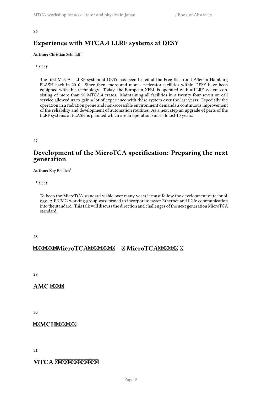## **Experience with MTCA.4 LLRF systems at DESY**

**Author:** Christian Schmidt<sup>1</sup>

<sup>1</sup> *DESY*

The first MTCA.4 LLRF system at DESY has been tested at the Free Electron LASer in Hamburg FLASH back in 2010. Since then, more and more accelerator facilities within DESY have been equipped with this technology. Today, the European XFEL is operated with a LLRF system consisting of more than 50 MTCA.4 crates. Maintaining all facilities in a twenty-four-seven on-call service allowed us to gain a lot of experience with these system over the last years. Especially the operation in a radiation prone and non-accessible environment demands a continuous improvement of the reliability and development of automation routines. As a next step an upgrade of parts of the LLRF systems at FLASH is planned which are in operation since almost 10 years.

<span id="page-12-0"></span>**27**

## **Development of the MicroTCA specification: Preparing the next generation**

**Author:** Kay Rehlich<sup>1</sup>

<sup>1</sup> *DESY*

To keep the MicroTCA standard viable over many years it must follow the development of technology. A PICMG working group was formed to incorporate faster Ethernet and PCIe communication into the standard. This talk will discuss the direction and challenges of the next generation MicroTCA standard.

<span id="page-12-1"></span>**28**

## **ftathtation interactions for MicroTCAFTTGAFT for Ftext**

<span id="page-12-2"></span>**29**

**AMC XXXX** 

<span id="page-12-3"></span>**30**

**FXMCHXXXXX** 

<span id="page-12-4"></span>**31**

### **MTCA XXXXXXXXXXXX**